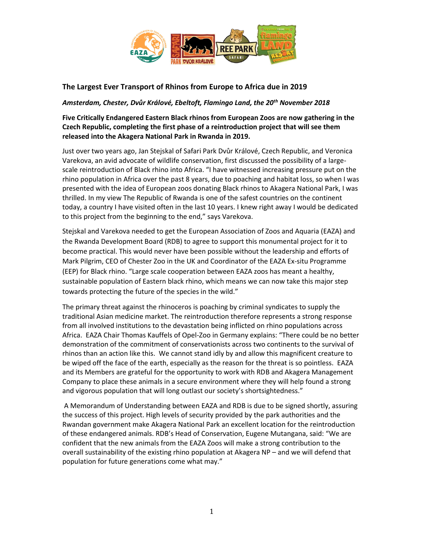

# **The Largest Ever Transport of Rhinos from Europe to Africa due in 2019**

## *Amsterdam, Chester, Dvůr Králové, Ebeltoft, Flamingo Land, the 20th November 2018*

# **Five Critically Endangered Eastern Black rhinos from European Zoos are now gathering in the Czech Republic, completing the first phase of a reintroduction project that will see them released into the Akagera National Park in Rwanda in 2019.**

Just over two years ago, Jan Stejskal of Safari Park Dvůr Králové, Czech Republic, and Veronica Varekova, an avid advocate of wildlife conservation, first discussed the possibility of a largescale reintroduction of Black rhino into Africa. "I have witnessed increasing pressure put on the rhino population in Africa over the past 8 years, due to poaching and habitat loss, so when I was presented with the idea of European zoos donating Black rhinos to Akagera National Park, I was thrilled. In my view The Republic of Rwanda is one of the safest countries on the continent today, a country I have visited often in the last 10 years. I knew right away I would be dedicated to this project from the beginning to the end," says Varekova.

Stejskal and Varekova needed to get the European Association of Zoos and Aquaria (EAZA) and the Rwanda Development Board (RDB) to agree to support this monumental project for it to become practical. This would never have been possible without the leadership and efforts of Mark Pilgrim, CEO of Chester Zoo in the UK and Coordinator of the EAZA Ex-situ Programme (EEP) for Black rhino. "Large scale cooperation between EAZA zoos has meant a healthy, sustainable population of Eastern black rhino, which means we can now take this major step towards protecting the future of the species in the wild."

The primary threat against the rhinoceros is poaching by criminal syndicates to supply the traditional Asian medicine market. The reintroduction therefore represents a strong response from all involved institutions to the devastation being inflicted on rhino populations across Africa. EAZA Chair Thomas Kauffels of Opel-Zoo in Germany explains: "There could be no better demonstration of the commitment of conservationists across two continents to the survival of rhinos than an action like this. We cannot stand idly by and allow this magnificent creature to be wiped off the face of the earth, especially as the reason for the threat is so pointless. EAZA and its Members are grateful for the opportunity to work with RDB and Akagera Management Company to place these animals in a secure environment where they will help found a strong and vigorous population that will long outlast our society's shortsightedness."

A Memorandum of Understanding between EAZA and RDB is due to be signed shortly, assuring the success of this project. High levels of security provided by the park authorities and the Rwandan government make Akagera National Park an excellent location for the reintroduction of these endangered animals. RDB's Head of Conservation, Eugene Mutangana, said: "We are confident that the new animals from the EAZA Zoos will make a strong contribution to the overall sustainability of the existing rhino population at Akagera NP – and we will defend that population for future generations come what may."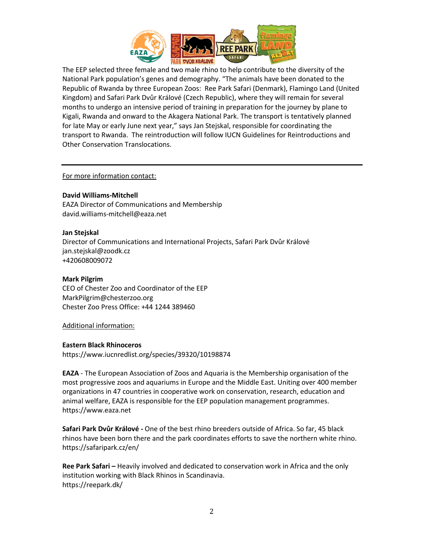

The EEP selected three female and two male rhino to help contribute to the diversity of the National Park population's genes and demography. "The animals have been donated to the Republic of Rwanda by three European Zoos: Ree Park Safari (Denmark), Flamingo Land (United Kingdom) and Safari Park Dvůr Králové (Czech Republic), where they will remain for several months to undergo an intensive period of training in preparation for the journey by plane to Kigali, Rwanda and onward to the Akagera National Park. The transport is tentatively planned for late May or early June next year," says Jan Stejskal, responsible for coordinating the transport to Rwanda. The reintroduction will follow IUCN Guidelines for Reintroductions and Other Conservation Translocations.

## For more information contact:

### **David Williams-Mitchell**

EAZA Director of Communications and Membership david.williams-mitchell@eaza.net

### **Jan Stejskal**

Director of Communications and International Projects, Safari Park Dvůr Králové jan.stejskal@zoodk.cz +420608009072

## **Mark Pilgrim**

CEO of Chester Zoo and Coordinator of the EEP MarkPilgrim@chesterzoo.org Chester Zoo Press Office: +44 1244 389460

Additional information:

#### **Eastern Black Rhinoceros**

https://www.iucnredlist.org/species/39320/10198874

**EAZA** - The European Association of Zoos and Aquaria is the Membership organisation of the most progressive zoos and aquariums in Europe and the Middle East. Uniting over 400 member organizations in 47 countries in cooperative work on conservation, research, education and animal welfare, EAZA is responsible for the EEP population management programmes. https://www.eaza.net

**Safari Park Dvůr Králové -** One of the best rhino breeders outside of Africa. So far, 45 black rhinos have been born there and the park coordinates efforts to save the northern white rhino. https://safaripark.cz/en/

**Ree Park Safari –** Heavily involved and dedicated to conservation work in Africa and the only institution working with Black Rhinos in Scandinavia. https://reepark.dk/